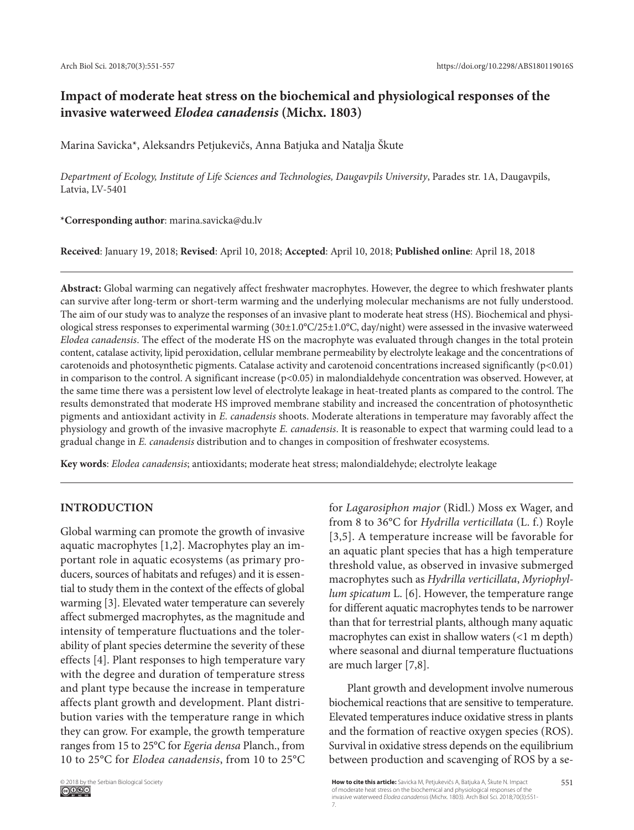# **Impact of moderate heat stress on the biochemical and physiological responses of the invasive waterweed** *Elodea canadensis* **(Michx. 1803)**

Marina Savicka\*, Aleksandrs Petjukevičs, Anna Batjuka and Nataļja Škute

*Department of Ecology, Institute of Life Sciences and Technologies, Daugavpils University*, Parades str. 1A, Daugavpils, Latvia, LV-5401

**\*Corresponding author**: marina.savicka@du.lv

**Received**: January 19, 2018; **Revised**: April 10, 2018; **Accepted**: April 10, 2018; **Published online**: April 18, 2018

**Abstract:** Global warming can negatively affect freshwater macrophytes. However, the degree to which freshwater plants can survive after long-term or short-term warming and the underlying molecular mechanisms are not fully understood. The aim of our study was to analyze the responses of an invasive plant to moderate heat stress (HS). Biochemical and physiological stress responses to experimental warming (30±1.0°C/25±1.0°C, day/night) were assessed in the invasive waterweed *Elodea canadensis*. The effect of the moderate HS on the macrophyte was evaluated through changes in the total protein content, catalase activity, lipid peroxidation, cellular membrane permeability by electrolyte leakage and the concentrations of carotenoids and photosynthetic pigments. Catalase activity and carotenoid concentrations increased significantly (p<0.01) in comparison to the control. A significant increase  $(p<0.05)$  in malondialdehyde concentration was observed. However, at the same time there was a persistent low level of electrolyte leakage in heat-treated plants as compared to the control. The results demonstrated that moderate HS improved membrane stability and increased the concentration of photosynthetic pigments and antioxidant activity in *E. canadensis* shoots. Moderate alterations in temperature may favorably affect the physiology and growth of the invasive macrophyte *E. canadensis*. It is reasonable to expect that warming could lead to a gradual change in *E. canadensis* distribution and to changes in composition of freshwater ecosystems.

**Key words**: *Elodea canadensis*; antioxidants; moderate heat stress; malondialdehyde; electrolyte leakage

# **Introduction**

Global warming can promote the growth of invasive aquatic macrophytes [1,2]. Macrophytes play an important role in aquatic ecosystems (as primary producers, sources of habitats and refuges) and it is essential to study them in the context of the effects of global warming [3]. Elevated water temperature can severely affect submerged macrophytes, as the magnitude and intensity of temperature fluctuations and the tolerability of plant species determine the severity of these effects [4]. Plant responses to high temperature vary with the degree and duration of temperature stress and plant type because the increase in temperature affects plant growth and development. Plant distribution varies with the temperature range in which they can grow. For example, the growth temperature ranges from 15 to 25°C for *Egeria densa* Planch., from 10 to 25°C for *Elodea canadensis*, from 10 to 25°C

for *Lagarosiphon major* (Ridl.) Moss ex Wager, and from 8 to 36°C for *Hydrilla verticillata* (L. f.) Royle [3,5]. A temperature increase will be favorable for an aquatic plant species that has a high temperature threshold value, as observed in invasive submerged macrophytes such as *Hydrilla verticillata*, *Myriophyllum spicatum* L. [6]. However, the temperature range for different aquatic macrophytes tends to be narrower than that for terrestrial plants, although many aquatic macrophytes can exist in shallow waters (<1 m depth) where seasonal and diurnal temperature fluctuations are much larger [7,8].

Plant growth and development involve numerous biochemical reactions that are sensitive to temperature. Elevated temperatures induce oxidative stress in plants and the formation of reactive oxygen species (ROS). Survival in oxidative stress depends on the equilibrium between production and scavenging of ROS by a se-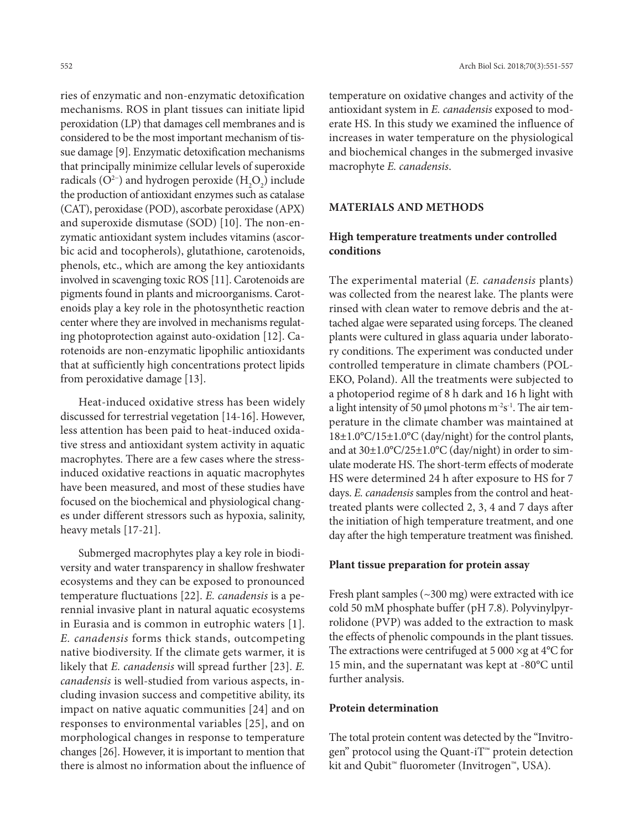ries of enzymatic and non-enzymatic detoxification mechanisms. ROS in plant tissues can initiate lipid peroxidation (LP) that damages cell membranes and is considered to be the most important mechanism of tissue damage [9]. Enzymatic detoxification mechanisms that principally minimize cellular levels of superoxide radicals (O<sup>2-</sup>) and hydrogen peroxide (H<sub>2</sub>O<sub>2</sub>) include the production of antioxidant enzymes such as catalase (CAT), peroxidase (POD), ascorbate peroxidase (APX) and superoxide dismutase (SOD) [10]. The non-enzymatic antioxidant system includes vitamins (ascorbic acid and tocopherols), glutathione, carotenoids, phenols, etc., which are among the key antioxidants involved in scavenging toxic ROS [11]. Carotenoids are pigments found in plants and microorganisms. Carotenoids play a key role in the photosynthetic reaction center where they are involved in mechanisms regulating photoprotection against auto-oxidation [12]. Carotenoids are non-enzymatic lipophilic antioxidants that at sufficiently high concentrations protect lipids from peroxidative damage [13].

Heat-induced oxidative stress has been widely discussed for terrestrial vegetation [14-16]. However, less attention has been paid to heat-induced oxidative stress and antioxidant system activity in aquatic macrophytes. There are a few cases where the stressinduced oxidative reactions in aquatic macrophytes have been measured, and most of these studies have focused on the biochemical and physiological changes under different stressors such as hypoxia, salinity, heavy metals [17-21].

Submerged macrophytes play a key role in biodiversity and water transparency in shallow freshwater ecosystems and they can be exposed to pronounced temperature fluctuations [22]. *E. canadensis* is a perennial invasive plant in natural aquatic ecosystems in Eurasia and is common in eutrophic waters [1]. *E. canadensis* forms thick stands, outcompeting native biodiversity. If the climate gets warmer, it is likely that *E. canadensis* will spread further [23]. *E. canadensis* is well-studied from various aspects, including invasion success and competitive ability, its impact on native aquatic communities [24] and on responses to environmental variables [25], and on morphological changes in response to temperature changes [26]. However, it is important to mention that there is almost no information about the influence of

temperature on oxidative changes and activity of the antioxidant system in *E. canadensis* exposed to moderate HS. In this study we examined the influence of increases in water temperature on the physiological and biochemical changes in the submerged invasive macrophyte *E. canadensis*.

# **Materials and methods**

# **High temperature treatments under controlled conditions**

The experimental material (*E. canadensis* plants) was collected from the nearest lake. The plants were rinsed with clean water to remove debris and the attached algae were separated using forceps. The cleaned plants were cultured in glass aquaria under laboratory conditions. The experiment was conducted under controlled temperature in climate chambers (POL-EKO, Poland). All the treatments were subjected to a photoperiod regime of 8 h dark and 16 h light with a light intensity of 50 µmol photons  $m<sup>-2</sup>s<sup>-1</sup>$ . The air temperature in the climate chamber was maintained at 18±1.0°C/15±1.0°C (day/night) for the control plants, and at 30±1.0°C/25±1.0°C (day/night) in order to simulate moderate HS. The short-term effects of moderate HS were determined 24 h after exposure to HS for 7 days. *E. canadensis* samples from the control and heattreated plants were collected 2, 3, 4 and 7 days after the initiation of high temperature treatment, and one day after the high temperature treatment was finished.

#### **Plant tissue preparation for protein assay**

Fresh plant samples  $(\sim 300 \text{ mg})$  were extracted with ice cold 50 mM phosphate buffer (pH 7.8). Polyvinylpyrrolidone (PVP) was added to the extraction to mask the effects of phenolic compounds in the plant tissues. The extractions were centrifuged at 5 000  $\times$ g at 4 $\rm ^{o}C$  for 15 min, and the supernatant was kept at -80°C until further analysis.

#### **Protein determination**

The total protein content was detected by the "Invitrogen" protocol using the Quant-iT<sup>™</sup> protein detection kit and Qubit™ fluorometer (Invitrogen™, USA).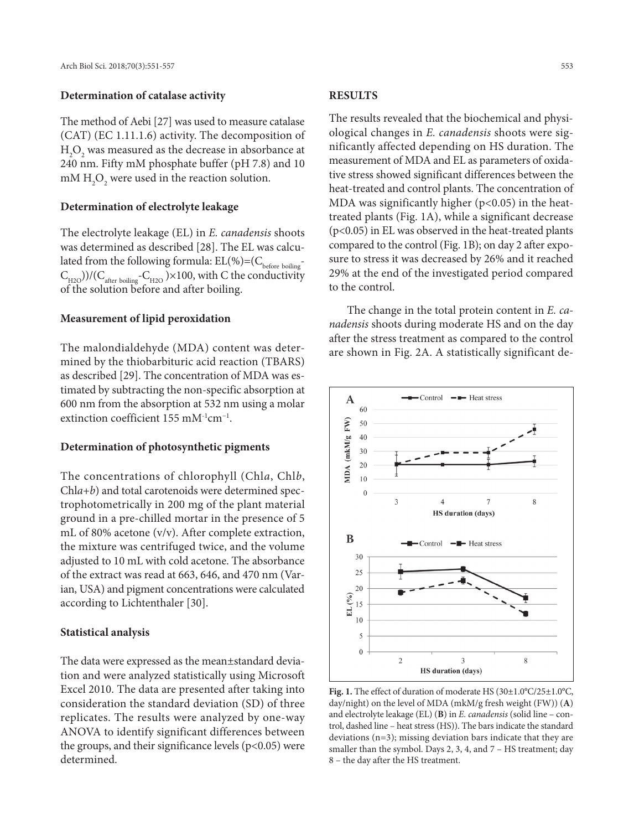#### **Determination of catalase activity**

The method of Aebi [27] was used to measure catalase (CAT) (EC 1.11.1.6) activity. The decomposition of  $\mathrm{H}_{2}\mathrm{O}_{2}$  was measured as the decrease in absorbance at 240 nm. Fifty mM phosphate buffer (pH 7.8) and 10 mM  $\rm H_2O_2$  were used in the reaction solution.

### **Determination of electrolyte leakage**

The electrolyte leakage (EL) in *E. canadensis* shoots was determined as described [28]. The EL was calculated from the following formula:  $\mathrm{EL}(\%){=}(C_{\mathrm{before~boiling}}^{-1}$  $(C_{H2O}))/(C_{\text{after boiling}}-C_{H2O}) \times 100$ , with C the conductivity of the solution before and after boiling.

#### **Measurement of lipid peroxidation**

The malondialdehyde (MDA) content was determined by the thiobarbituric acid reaction (TBARS) as described [29]. The concentration of MDA was estimated by subtracting the non-specific absorption at 600 nm from the absorption at 532 nm using a molar extinction coefficient 155 mM-1cm−1.

#### **Determination of photosynthetic pigments**

The concentrations of chlorophyll (Chl*a*, Chl*b*, Chl*a+b*) and total carotenoids were determined spectrophotometrically in 200 mg of the plant material ground in a pre-chilled mortar in the presence of 5 mL of 80% acetone (v/v). After complete extraction, the mixture was centrifuged twice, and the volume adjusted to 10 mL with cold acetone. The absorbance of the extract was read at 663, 646, and 470 nm (Varian, USA) and pigment concentrations were calculated according to Lichtenthaler [30].

#### **Statistical analysis**

The data were expressed as the mean±standard deviation and were analyzed statistically using Microsoft Excel 2010. The data are presented after taking into consideration the standard deviation (SD) of three replicates. The results were analyzed by one-way ANOVA to identify significant differences between the groups, and their significance levels  $(p<0.05)$  were determined.

# **Results**

The results revealed that the biochemical and physiological changes in *E. canadensis* shoots were significantly affected depending on HS duration. The measurement of MDA and EL as parameters of oxidative stress showed significant differences between the heat-treated and control plants. The concentration of MDA was significantly higher  $(p<0.05)$  in the heattreated plants (Fig. 1A), while a significant decrease (p<0.05) in EL was observed in the heat-treated plants compared to the control (Fig. 1B); on day 2 after exposure to stress it was decreased by 26% and it reached 29% at the end of the investigated period compared to the control.

The change in the total protein content in *E. canadensis* shoots during moderate HS and on the day after the stress treatment as compared to the control are shown in Fig. 2A. A statistically significant de-



**Fig. 1.** The effect of duration of moderate HS (30±1.0°C/25±1.0°C, day/night) on the level of MDA (mkM/g fresh weight (FW)) (**A**) and electrolyte leakage (EL) (**B**) in *E. canadensis* (solid line – control, dashed line – heat stress (HS)). The bars indicate the standard deviations (n=3); missing deviation bars indicate that they are smaller than the symbol. Days 2, 3, 4, and 7 – HS treatment; day 8 – the day after the HS treatment.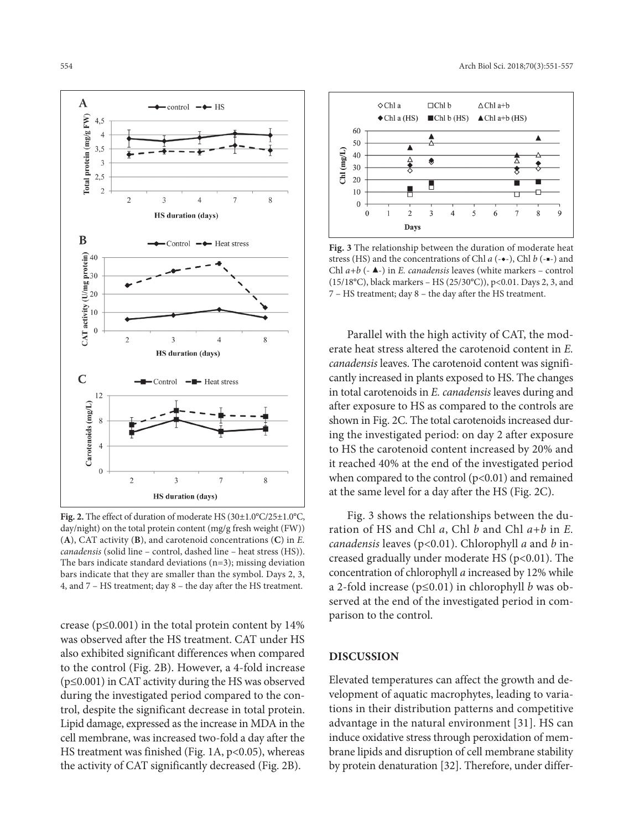

**Fig. 2.** The effect of duration of moderate HS (30±1.0°C/25±1.0°C, day/night) on the total protein content (mg/g fresh weight (FW)) (**A**), CAT activity (**B**), and carotenoid concentrations (**C**) in *E. canadensis* (solid line – control, dashed line – heat stress (HS)). The bars indicate standard deviations (n=3); missing deviation bars indicate that they are smaller than the symbol. Days 2, 3, 4, and 7 – HS treatment; day 8 – the day after the HS treatment.

crease ( $p \le 0.001$ ) in the total protein content by 14% was observed after the HS treatment. CAT under HS also exhibited significant differences when compared to the control (Fig. 2B). However, a 4-fold increase (p≤0.001) in CAT activity during the HS was observed during the investigated period compared to the control, despite the significant decrease in total protein. Lipid damage, expressed as the increase in MDA in the cell membrane, was increased two-fold a day after the HS treatment was finished (Fig. 1A, p<0.05), whereas the activity of CAT significantly decreased (Fig. 2B).



**Fig. 3** The relationship between the duration of moderate heat stress (HS) and the concentrations of Chl *a* (-◆-), Chl *b* (-■-) and Chl *a+b* (- ▶-) in *E. canadensis* leaves (white markers – control (15/18°C), black markers – HS (25/30°C)), p<0.01. Days 2, 3, and 7 – HS treatment; day 8 – the day after the HS treatment.

Parallel with the high activity of CAT, the moderate heat stress altered the carotenoid content in *E. canadensis* leaves. The carotenoid content was significantly increased in plants exposed to HS. The changes in total carotenoids in *E. canadensis* leaves during and after exposure to HS as compared to the controls are shown in Fig. 2C. The total carotenoids increased during the investigated period: on day 2 after exposure to HS the carotenoid content increased by 20% and it reached 40% at the end of the investigated period when compared to the control  $(p<0.01)$  and remained at the same level for a day after the HS (Fig. 2C).

Fig. 3 shows the relationships between the duration of HS and Chl *a*, Chl *b* and Chl *a+b* in *E. canadensis* leaves (p<0.01). Chlorophyll *a* and *b* increased gradually under moderate HS ( $p<0.01$ ). The concentration of chlorophyll *a* increased by 12% while a 2-fold increase (p≤0.01) in chlorophyll *b* was observed at the end of the investigated period in comparison to the control.

# **Discussion**

Elevated temperatures can affect the growth and development of aquatic macrophytes, leading to variations in their distribution patterns and competitive advantage in the natural environment [31]. HS can induce oxidative stress through peroxidation of membrane lipids and disruption of cell membrane stability by protein denaturation [32]. Therefore, under differ-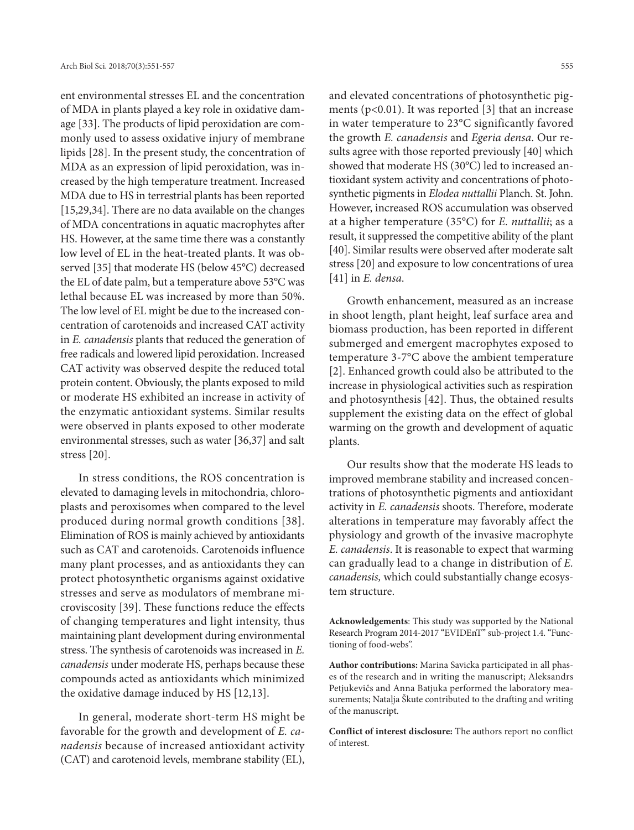ent environmental stresses EL and the concentration of MDA in plants played a key role in oxidative damage [33]. The products of lipid peroxidation are commonly used to assess oxidative injury of membrane lipids [28]. In the present study, the concentration of MDA as an expression of lipid peroxidation, was increased by the high temperature treatment. Increased MDA due to HS in terrestrial plants has been reported [15,29,34]. There are no data available on the changes of MDA concentrations in aquatic macrophytes after HS. However, at the same time there was a constantly low level of EL in the heat-treated plants. It was observed [35] that moderate HS (below 45°C) decreased the EL of date palm, but a temperature above 53°C was lethal because EL was increased by more than 50%. The low level of EL might be due to the increased concentration of carotenoids and increased CAT activity in *E. canadensis* plants that reduced the generation of free radicals and lowered lipid peroxidation. Increased CAT activity was observed despite the reduced total protein content. Obviously, the plants exposed to mild or moderate HS exhibited an increase in activity of the enzymatic antioxidant systems. Similar results were observed in plants exposed to other moderate environmental stresses, such as water [36,37] and salt stress [20].

In stress conditions, the ROS concentration is elevated to damaging levels in mitochondria, chloroplasts and peroxisomes when compared to the level produced during normal growth conditions [38]. Elimination of ROS is mainly achieved by antioxidants such as CAT and carotenoids. Carotenoids influence many plant processes, and as antioxidants they can protect photosynthetic organisms against oxidative stresses and serve as modulators of membrane microviscosity [39]. These functions reduce the effects of changing temperatures and light intensity, thus maintaining plant development during environmental stress. The synthesis of carotenoids was increased in *E. canadensis* under moderate HS, perhaps because these compounds acted as antioxidants which minimized the oxidative damage induced by HS [12,13].

In general, moderate short-term HS might be favorable for the growth and development of *E. canadensis* because of increased antioxidant activity (CAT) and carotenoid levels, membrane stability (EL),

and elevated concentrations of photosynthetic pigments ( $p<0.01$ ). It was reported [3] that an increase in water temperature to 23°C significantly favored the growth *E. canadensis* and *Egeria densa*. Our results agree with those reported previously [40] which showed that moderate HS (30°C) led to increased antioxidant system activity and concentrations of photosynthetic pigments in *Elodea nuttallii* Planch. St. John. However, increased ROS accumulation was observed at a higher temperature (35°C) for *E. nuttallii*; as a result, it suppressed the competitive ability of the plant [40]. Similar results were observed after moderate salt stress [20] and exposure to low concentrations of urea [41] in *E. densa*.

Growth enhancement, measured as an increase in shoot length, plant height, leaf surface area and biomass production, has been reported in different submerged and emergent macrophytes exposed to temperature 3-7°C above the ambient temperature [2]. Enhanced growth could also be attributed to the increase in physiological activities such as respiration and photosynthesis [42]. Thus, the obtained results supplement the existing data on the effect of global warming on the growth and development of aquatic plants.

Our results show that the moderate HS leads to improved membrane stability and increased concentrations of photosynthetic pigments and antioxidant activity in *E. canadensis* shoots. Therefore, moderate alterations in temperature may favorably affect the physiology and growth of the invasive macrophyte *E. canadensis*. It is reasonable to expect that warming can gradually lead to a change in distribution of *E. canadensis,* which could substantially change ecosystem structure.

**Acknowledgements**: This study was supported by the National Research Program 2014-2017 "EVIDEnT" sub-project 1.4. "Functioning of food-webs".

**Author contributions:** Marina Savicka participated in all phases of the research and in writing the manuscript; Aleksandrs Petjukevičs and Anna Batjuka performed the laboratory measurements; Nataļja Škute contributed to the drafting and writing of the manuscript.

**Conflict of interest disclosure:** The authors report no conflict of interest.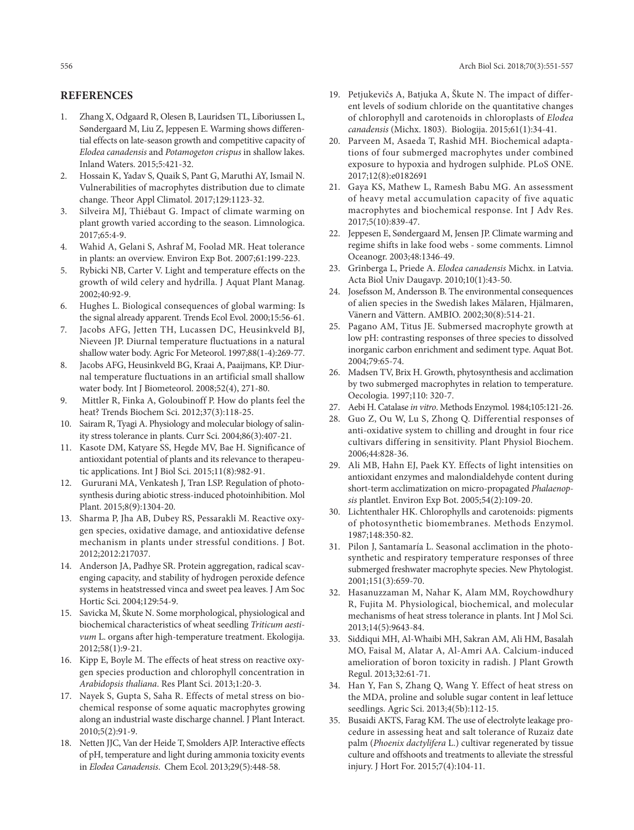# **References**

- 1. Zhang X, Odgaard R, Olesen B, Lauridsen TL, Liboriussen L, Søndergaard M, Liu Z, Jeppesen E. Warming shows differential effects on late-season growth and competitive capacity of *Elodea canadensis* and *Potamogeton crispus* in shallow lakes. Inland Waters. 2015;5:421-32.
- 2. Hossain K, Yadav S, Quaik S, Pant G, Maruthi AY, Ismail N. Vulnerabilities of macrophytes distribution due to climate change. Theor Appl Climatol. 2017;129:1123-32.
- 3. Silveira MJ, Thiébaut G. Impact of climate warming on plant growth varied according to the season. Limnologica. 2017;65:4-9.
- 4. Wahid A, Gelani S, Ashraf M, Foolad MR. Heat tolerance in plants: an overview. Environ Exp Bot. 2007;61:199-223.
- 5. Rybicki NB, Carter V. Light and temperature effects on the growth of wild celery and hydrilla. J Aquat Plant Manag. 2002;40:92-9.
- 6. Hughes L. Biological consequences of global warming: Is the signal already apparent. Trends Ecol Evol. 2000;15:56-61.
- 7. Jacobs AFG, Jetten TH, Lucassen DC, Heusinkveld BJ, Nieveen JP. Diurnal temperature fluctuations in a natural shallow water body. Agric For Meteorol. 1997;88(1-4):269-77.
- 8. Jacobs AFG, Heusinkveld BG, Kraai A, Paaijmans, KP. Diurnal temperature fluctuations in an artificial small shallow water body. Int J Biometeorol. 2008;52(4), 271-80.
- 9. Mittler R, Finka A, Goloubinoff P. How do plants feel the heat? Trends Biochem Sci. 2012;37(3):118-25.
- 10. Sairam R, Tyagi A. Physiology and molecular biology of salinity stress tolerance in plants. Curr Sci. 2004;86(3):407-21.
- 11. Kasote DM, Katyare SS, Hegde MV, Bae H. Significance of antioxidant potential of plants and its relevance to therapeutic applications. Int J Biol Sci. 2015;11(8):982-91.
- 12. Gururani MA, Venkatesh J, Tran LSP. Regulation of photosynthesis during abiotic stress-induced photoinhibition. Mol Plant. 2015;8(9):1304-20.
- 13. Sharma P, Jha AB, Dubey RS, Pessarakli M. Reactive oxygen species, oxidative damage, and antioxidative defense mechanism in plants under stressful conditions. J Bot. 2012;2012:217037.
- 14. Anderson JA, Padhye SR. Protein aggregation, radical scavenging capacity, and stability of hydrogen peroxide defence systems in heatstressed vinca and sweet pea leaves. J Am Soc Hortic Sci. 2004;129:54-9.
- 15. Savicka M, Škute N. Some morphological, physiological and biochemical characteristics of wheat seedling *Triticum aestivum* L. organs after high-temperature treatment. Ekologija. 2012;58(1):9-21.
- 16. Kipp E, Boyle M. The effects of heat stress on reactive oxygen species production and chlorophyll concentration in *Arabidopsis thaliana*. Res Plant Sci. 2013;1:20-3.
- 17. Nayek S, Gupta S, Saha R. Effects of metal stress on biochemical response of some aquatic macrophytes growing along an industrial waste discharge channel. J Plant Interact. 2010;5(2):91-9.
- 18. Netten JJC, Van der Heide T, Smolders AJP. Interactive effects of pH, temperature and light during ammonia toxicity events in *Elodea Canadensis*. Chem Ecol. 2013;29(5):448-58.
- 19. Petjukevičs A, Batjuka A, Škute N. The impact of different levels of sodium chloride on the quantitative changes of chlorophyll and carotenoids in chloroplasts of *Elodea canadensis* (Michx. 1803). Biologija. 2015;61(1):34-41.
- 20. Parveen M, Asaeda T, Rashid MH. Biochemical adaptations of four submerged macrophytes under combined exposure to hypoxia and hydrogen sulphide. PLoS ONE. 2017;12(8):e0182691
- 21. Gaya KS, Mathew L, Ramesh Babu MG. An assessment of heavy metal accumulation capacity of five aquatic macrophytes and biochemical response. Int J Adv Res. 2017;5(10):839-47.
- 22. Jeppesen E, Søndergaard M, Jensen JP. Climate warming and regime shifts in lake food webs - some comments. Limnol Oceanogr. 2003;48:1346-49.
- 23. Grīnberga L, Priede A. *Elodea canadensis* Michx. in Latvia. Acta Biol Univ Daugavp. 2010;10(1):43-50.
- 24. Josefsson M, Andersson B. The environmental consequences of alien species in the Swedish lakes Mälaren, Hjälmaren, Vänern and Vättern. AMBIO. 2002;30(8):514-21.
- 25. Pagano AM, Titus JE. Submersed macrophyte growth at low pH: contrasting responses of three species to dissolved inorganic carbon enrichment and sediment type. Aquat Bot. 2004;79:65-74.
- 26. Madsen TV, Brix H. Growth, phytosynthesis and acclimation by two submerged macrophytes in relation to temperature. Oecologia. 1997;110: 320-7.
- 27. Aebi H. Catalase *in vitro*. Methods Enzymol. 1984;105:121-26.
- 28. Guo Z, Ou W, Lu S, Zhong Q. Differential responses of anti-oxidative system to chilling and drought in four rice cultivars differing in sensitivity. Plant Physiol Biochem. 2006;44:828-36.
- 29. Ali MB, Hahn EJ, Paek KY. Effects of light intensities on antioxidant enzymes and malondialdehyde content during short-term acclimatization on micro-propagated *Phalaenopsis* plantlet. Environ Exp Bot. 2005;54(2):109-20.
- 30. Lichtenthaler HK. Chlorophylls and carotenoids: pigments of photosynthetic biomembranes. Methods Enzymol. 1987;148:350-82.
- 31. Pilon J, Santamaría L. Seasonal acclimation in the photosynthetic and respiratory temperature responses of three submerged freshwater macrophyte species. New Phytologist. 2001;151(3):659-70.
- 32. Hasanuzzaman M, Nahar K, Alam MM, Roychowdhury R, Fujita M. Physiological, biochemical, and molecular mechanisms of heat stress tolerance in plants. Int J Mol Sci. 2013;14(5):9643-84.
- 33. Siddiqui MH, Al-Whaibi MH, Sakran AM, Ali HM, Basalah MO, Faisal M, Alatar A, Al-Amri AA. Calcium-induced amelioration of boron toxicity in radish. J Plant Growth Regul. 2013;32:61-71.
- 34. Han Y, Fan S, Zhang Q, Wang Y. Effect of heat stress on the MDA, proline and soluble sugar content in leaf lettuce seedlings. Agric Sci. 2013;4(5b):112-15.
- 35. Busaidi AKTS, Farag KM. The use of electrolyte leakage procedure in assessing heat and salt tolerance of Ruzaiz date palm (*Phoenix dactylifera* L.) cultivar regenerated by tissue culture and offshoots and treatments to alleviate the stressful injury. J Hort For. 2015;7(4):104-11.